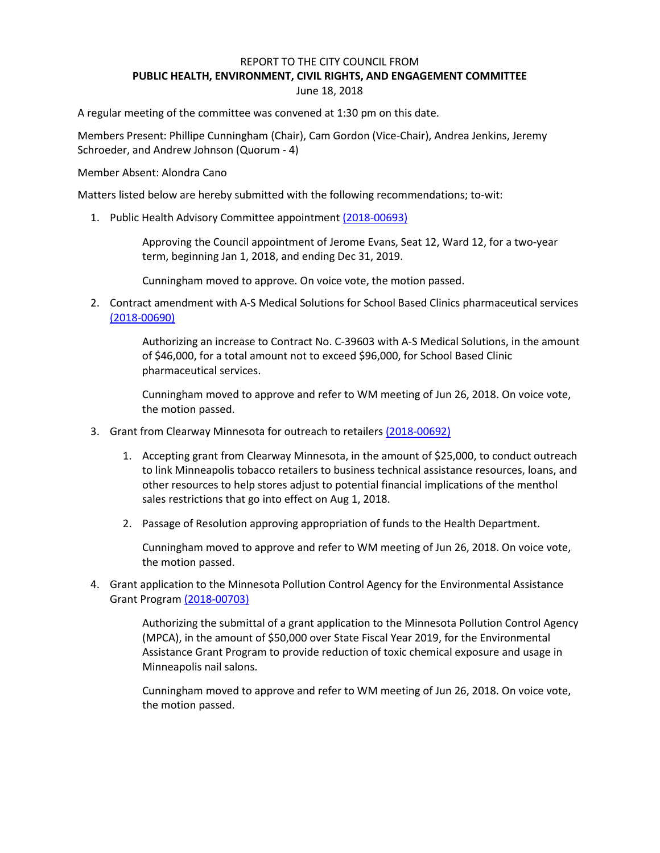## REPORT TO THE CITY COUNCIL FROM **PUBLIC HEALTH, ENVIRONMENT, CIVIL RIGHTS, AND ENGAGEMENT COMMITTEE** June 18, 2018

A regular meeting of the committee was convened at 1:30 pm on this date.

Members Present: Phillipe Cunningham (Chair), Cam Gordon (Vice-Chair), Andrea Jenkins, Jeremy Schroeder, and Andrew Johnson (Quorum - 4)

Member Absent: Alondra Cano

Matters listed below are hereby submitted with the following recommendations; to-wit:

1. Public Health Advisory Committee appointment [\(2018-00693\)](https://lims.minneapolismn.gov/File/2018-00693)

Approving the Council appointment of Jerome Evans, Seat 12, Ward 12, for a two-year term, beginning Jan 1, 2018, and ending Dec 31, 2019.

Cunningham moved to approve. On voice vote, the motion passed.

2. Contract amendment with A-S Medical Solutions for School Based Clinics pharmaceutical services [\(2018-00690\)](https://lims.minneapolismn.gov/File/2018-00690)

> Authorizing an increase to Contract No. C-39603 with A-S Medical Solutions, in the amount of \$46,000, for a total amount not to exceed \$96,000, for School Based Clinic pharmaceutical services.

Cunningham moved to approve and refer to WM meeting of Jun 26, 2018. On voice vote, the motion passed.

- 3. Grant from Clearway Minnesota for outreach to retailers [\(2018-00692\)](https://lims.minneapolismn.gov/File/2018-00692)
	- 1. Accepting grant from Clearway Minnesota, in the amount of \$25,000, to conduct outreach to link Minneapolis tobacco retailers to business technical assistance resources, loans, and other resources to help stores adjust to potential financial implications of the menthol sales restrictions that go into effect on Aug 1, 2018.
	- 2. Passage of Resolution approving appropriation of funds to the Health Department.

Cunningham moved to approve and refer to WM meeting of Jun 26, 2018. On voice vote, the motion passed.

4. Grant application to the Minnesota Pollution Control Agency for the Environmental Assistance Grant Program [\(2018-00703\)](https://lims.minneapolismn.gov/File/2018-00703)

> Authorizing the submittal of a grant application to the Minnesota Pollution Control Agency (MPCA), in the amount of \$50,000 over State Fiscal Year 2019, for the Environmental Assistance Grant Program to provide reduction of toxic chemical exposure and usage in Minneapolis nail salons.

Cunningham moved to approve and refer to WM meeting of Jun 26, 2018. On voice vote, the motion passed.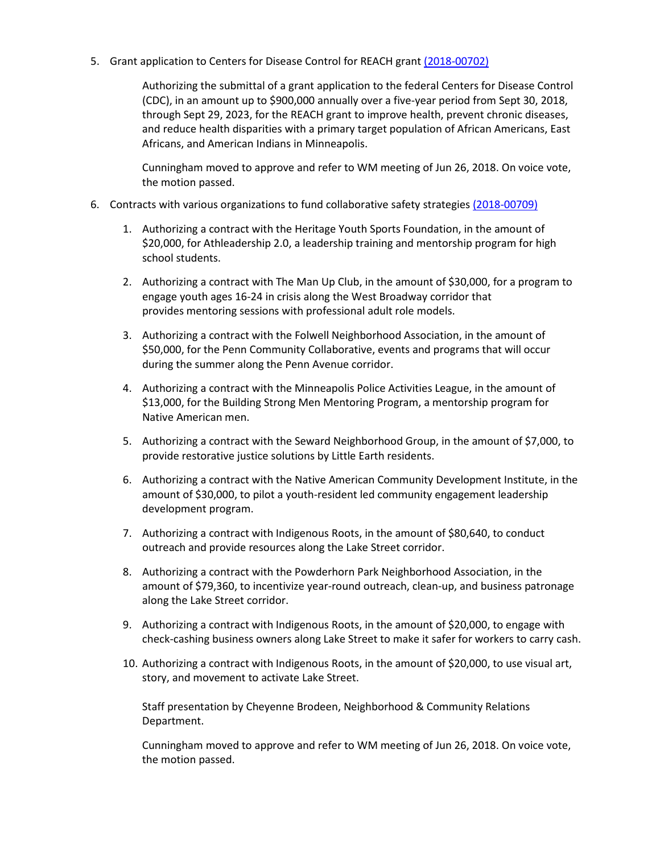5. Grant application to Centers for Disease Control for REACH grant [\(2018-00702\)](https://lims.minneapolismn.gov/File/2018-00702)

Authorizing the submittal of a grant application to the federal Centers for Disease Control (CDC), in an amount up to \$900,000 annually over a five-year period from Sept 30, 2018, through Sept 29, 2023, for the REACH grant to improve health, prevent chronic diseases, and reduce health disparities with a primary target population of African Americans, East Africans, and American Indians in Minneapolis.

Cunningham moved to approve and refer to WM meeting of Jun 26, 2018. On voice vote, the motion passed.

- 6. Contracts with various organizations to fund collaborative safety strategies [\(2018-00709\)](https://lims.minneapolismn.gov/File/2018-00709)
	- 1. Authorizing a contract with the Heritage Youth Sports Foundation, in the amount of \$20,000, for Athleadership 2.0, a leadership training and mentorship program for high school students.
	- 2. Authorizing a contract with The Man Up Club, in the amount of \$30,000, for a program to engage youth ages 16-24 in crisis along the West Broadway corridor that provides mentoring sessions with professional adult role models.
	- 3. Authorizing a contract with the Folwell Neighborhood Association, in the amount of \$50,000, for the Penn Community Collaborative, events and programs that will occur during the summer along the Penn Avenue corridor.
	- 4. Authorizing a contract with the Minneapolis Police Activities League, in the amount of \$13,000, for the Building Strong Men Mentoring Program, a mentorship program for Native American men.
	- 5. Authorizing a contract with the Seward Neighborhood Group, in the amount of \$7,000, to provide restorative justice solutions by Little Earth residents.
	- 6. Authorizing a contract with the Native American Community Development Institute, in the amount of \$30,000, to pilot a youth-resident led community engagement leadership development program.
	- 7. Authorizing a contract with Indigenous Roots, in the amount of \$80,640, to conduct outreach and provide resources along the Lake Street corridor.
	- 8. Authorizing a contract with the Powderhorn Park Neighborhood Association, in the amount of \$79,360, to incentivize year-round outreach, clean-up, and business patronage along the Lake Street corridor.
	- 9. Authorizing a contract with Indigenous Roots, in the amount of \$20,000, to engage with check-cashing business owners along Lake Street to make it safer for workers to carry cash.
	- 10. Authorizing a contract with Indigenous Roots, in the amount of \$20,000, to use visual art, story, and movement to activate Lake Street.

Staff presentation by Cheyenne Brodeen, Neighborhood & Community Relations Department.

Cunningham moved to approve and refer to WM meeting of Jun 26, 2018. On voice vote, the motion passed.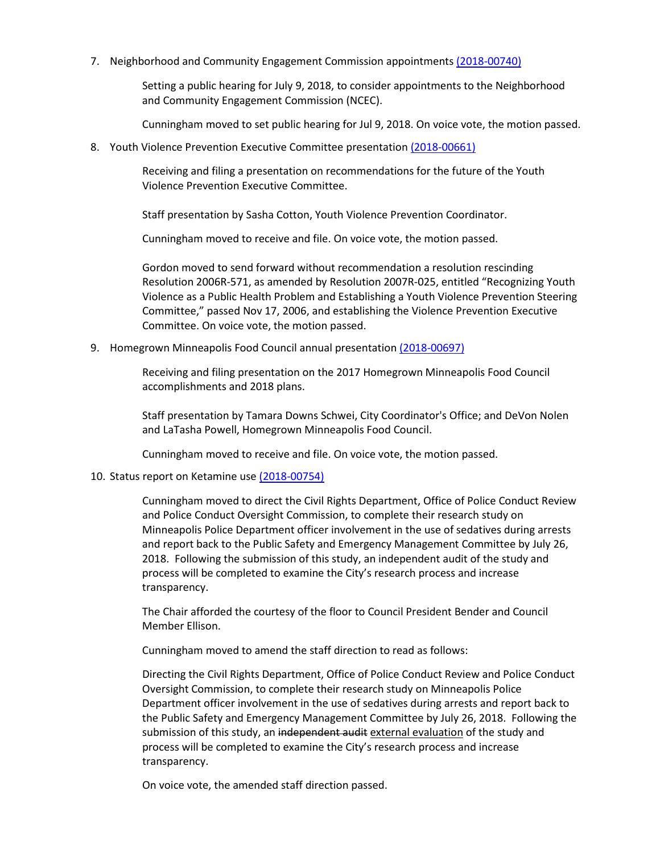7. Neighborhood and Community Engagement Commission appointment[s \(2018-00740\)](https://lims.minneapolismn.gov/File/2018-00740)

Setting a public hearing for July 9, 2018, to consider appointments to the Neighborhood and Community Engagement Commission (NCEC).

Cunningham moved to set public hearing for Jul 9, 2018. On voice vote, the motion passed.

8. Youth Violence Prevention Executive Committee presentation [\(2018-00661\)](https://lims.minneapolismn.gov/File/2018-00661)

Receiving and filing a presentation on recommendations for the future of the Youth Violence Prevention Executive Committee.

Staff presentation by Sasha Cotton, Youth Violence Prevention Coordinator.

Cunningham moved to receive and file. On voice vote, the motion passed.

Gordon moved to send forward without recommendation a resolution rescinding Resolution 2006R-571, as amended by Resolution 2007R-025, entitled "Recognizing Youth Violence as a Public Health Problem and Establishing a Youth Violence Prevention Steering Committee," passed Nov 17, 2006, and establishing the Violence Prevention Executive Committee. On voice vote, the motion passed.

9. Homegrown Minneapolis Food Council annual presentatio[n \(2018-00697\)](https://lims.minneapolismn.gov/File/2018-00697)

Receiving and filing presentation on the 2017 Homegrown Minneapolis Food Council accomplishments and 2018 plans.

Staff presentation by Tamara Downs Schwei, City Coordinator's Office; and DeVon Nolen and LaTasha Powell, Homegrown Minneapolis Food Council.

Cunningham moved to receive and file. On voice vote, the motion passed.

## 10. Status report on Ketamine us[e \(2018-00754\)](https://lims.minneapolismn.gov/File/2018-00754)

Cunningham moved to direct the Civil Rights Department, Office of Police Conduct Review and Police Conduct Oversight Commission, to complete their research study on Minneapolis Police Department officer involvement in the use of sedatives during arrests and report back to the Public Safety and Emergency Management Committee by July 26, 2018. Following the submission of this study, an independent audit of the study and process will be completed to examine the City's research process and increase transparency.

The Chair afforded the courtesy of the floor to Council President Bender and Council Member Ellison.

Cunningham moved to amend the staff direction to read as follows:

Directing the Civil Rights Department, Office of Police Conduct Review and Police Conduct Oversight Commission, to complete their research study on Minneapolis Police Department officer involvement in the use of sedatives during arrests and report back to the Public Safety and Emergency Management Committee by July 26, 2018. Following the submission of this study, an independent audit external evaluation of the study and process will be completed to examine the City's research process and increase transparency.

On voice vote, the amended staff direction passed.